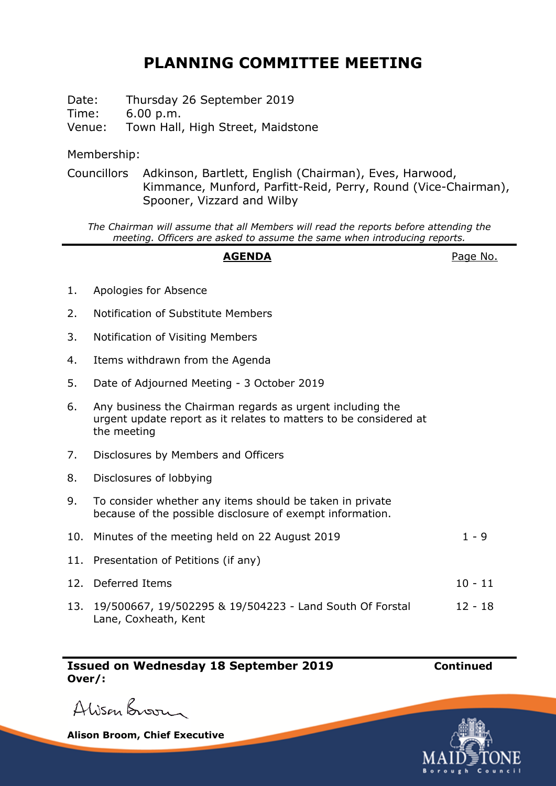## **PLANNING COMMITTEE MEETING**

Date: Thursday 26 September 2019 Time: 6.00 p.m. Venue: Town Hall, High Street, Maidstone

Membership:

Councillors Adkinson, Bartlett, English (Chairman), Eves, Harwood, Kimmance, Munford, Parfitt-Reid, Perry, Round (Vice-Chairman), Spooner, Vizzard and Wilby

*The Chairman will assume that all Members will read the reports before attending the meeting. Officers are asked to assume the same when introducing reports.*

## AGENDA **AGENDA**Page No.

- 1. Apologies for Absence
- 2. Notification of Substitute Members
- 3. Notification of Visiting Members
- 4. Items withdrawn from the Agenda
- 5. Date of Adjourned Meeting 3 October 2019
- 6. Any business the Chairman regards as urgent including the urgent update report as it relates to matters to be considered at the meeting
- 7. Disclosures by Members and Officers
- 8. Disclosures of lobbying
- 9. To consider whether any items should be taken in private because of the possible disclosure of exempt information.

| 10. Minutes of the meeting held on 22 August 2019 | 1-9       |
|---------------------------------------------------|-----------|
| 11. Presentation of Petitions (if any)            |           |
| 12. Deferred Items                                | $10 - 11$ |

13. 19/500667, 19/502295 & 19/504223 - Land South Of Forstal 12 - 18Lane, Coxheath, Kent

**Issued on Wednesday 18 September 2019 Continued Over/:**



Alison Broom

**Alison Broom, Chief Executive**